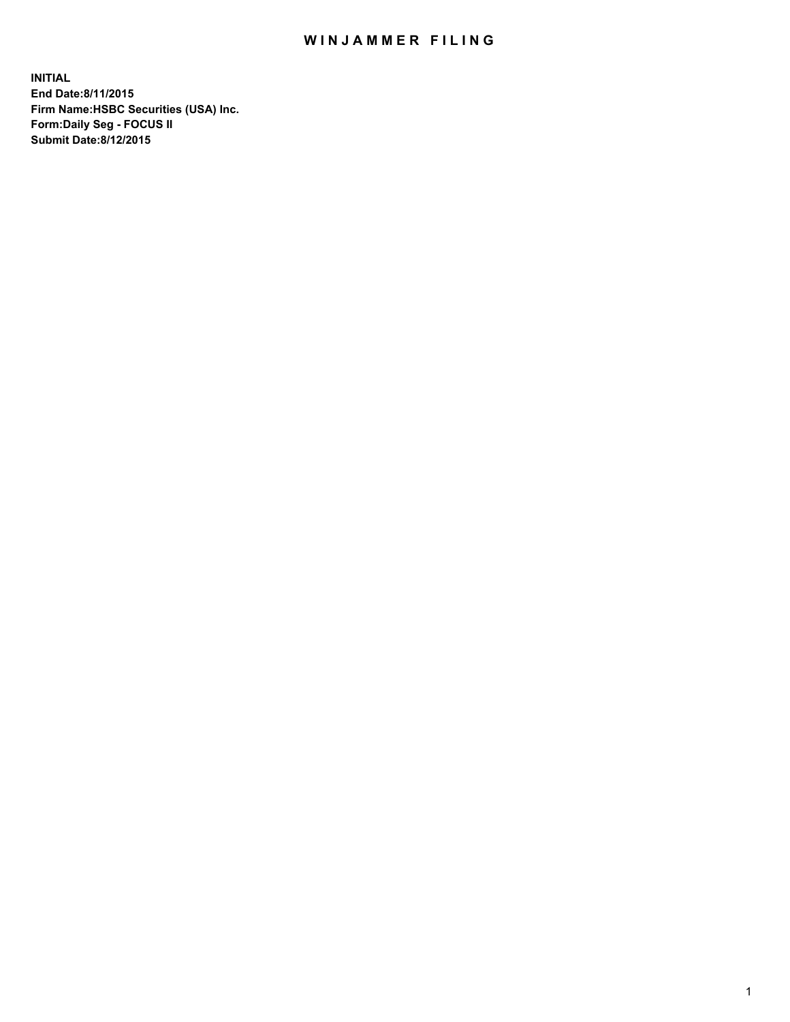## WIN JAMMER FILING

**INITIAL End Date:8/11/2015 Firm Name:HSBC Securities (USA) Inc. Form:Daily Seg - FOCUS II Submit Date:8/12/2015**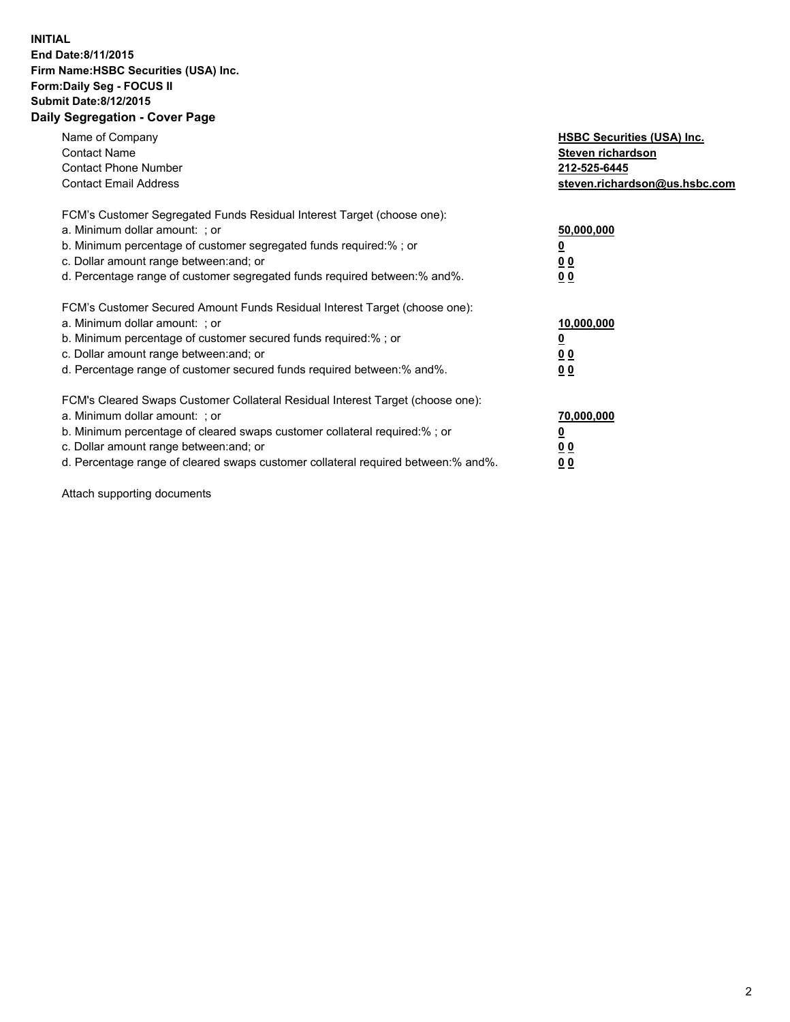## **INITIAL End Date:8/11/2015 Firm Name:HSBC Securities (USA) Inc. Form:Daily Seg - FOCUS II Submit Date:8/12/2015 Daily Segregation - Cover Page**

| Name of Company<br><b>Contact Name</b><br><b>Contact Phone Number</b><br><b>Contact Email Address</b>                                                                                                                                                                                                                          | <b>HSBC Securities (USA) Inc.</b><br>Steven richardson<br>212-525-6445<br>steven.richardson@us.hsbc.com |
|--------------------------------------------------------------------------------------------------------------------------------------------------------------------------------------------------------------------------------------------------------------------------------------------------------------------------------|---------------------------------------------------------------------------------------------------------|
| FCM's Customer Segregated Funds Residual Interest Target (choose one):<br>a. Minimum dollar amount: ; or<br>b. Minimum percentage of customer segregated funds required:%; or<br>c. Dollar amount range between: and; or<br>d. Percentage range of customer segregated funds required between: % and %.                        | 50,000,000<br>0 <sub>0</sub><br>0 <sub>0</sub>                                                          |
| FCM's Customer Secured Amount Funds Residual Interest Target (choose one):<br>a. Minimum dollar amount: ; or<br>b. Minimum percentage of customer secured funds required:%; or<br>c. Dollar amount range between: and; or<br>d. Percentage range of customer secured funds required between:% and%.                            | 10,000,000<br><u>0</u><br>0 <sub>0</sub><br>0 <sub>0</sub>                                              |
| FCM's Cleared Swaps Customer Collateral Residual Interest Target (choose one):<br>a. Minimum dollar amount: ; or<br>b. Minimum percentage of cleared swaps customer collateral required:% ; or<br>c. Dollar amount range between: and; or<br>d. Percentage range of cleared swaps customer collateral required between:% and%. | 70,000,000<br>00<br><u>00</u>                                                                           |

Attach supporting documents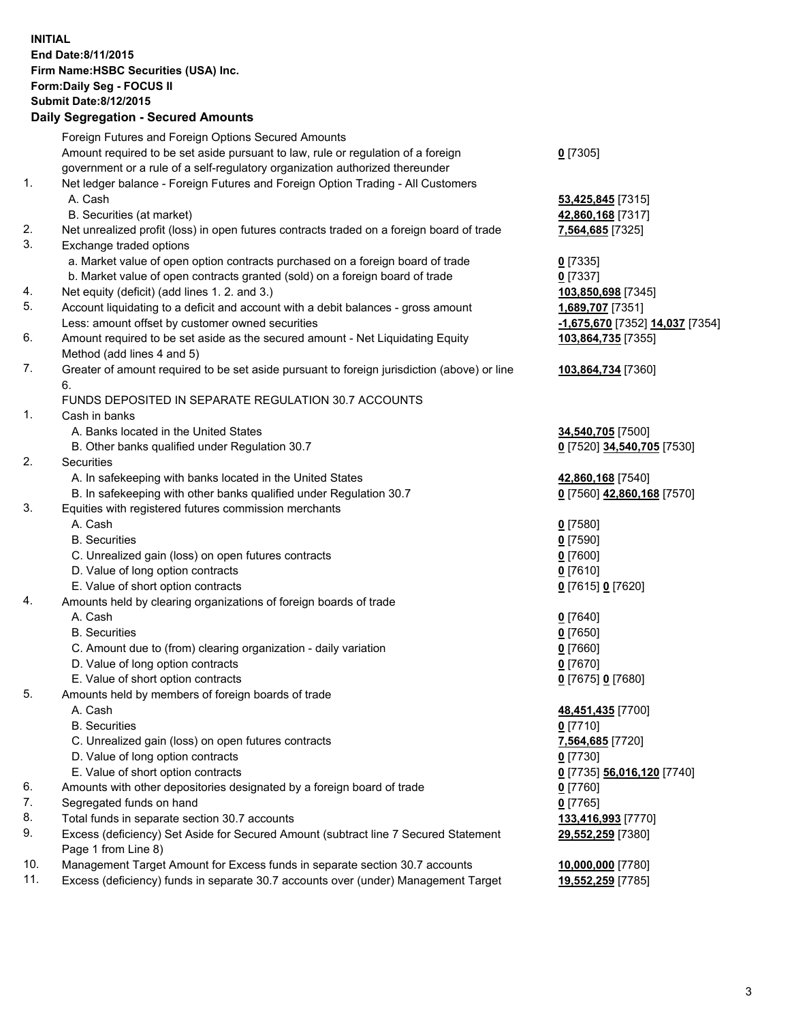**INITIAL End Date:8/11/2015 Firm Name:HSBC Securities (USA) Inc. Form:Daily Seg - FOCUS II Submit Date:8/12/2015 Daily Segregation - Secured Amounts**

Foreign Futures and Foreign Options Secured Amounts Amount required to be set aside pursuant to law, rule or regulation of a foreign government or a rule of a self-regulatory organization authorized thereunder **0** [7305] 1. Net ledger balance - Foreign Futures and Foreign Option Trading - All Customers A. Cash **53,425,845** [7315] B. Securities (at market) **42,860,168** [7317] 2. Net unrealized profit (loss) in open futures contracts traded on a foreign board of trade **7,564,685** [7325] 3. Exchange traded options a. Market value of open option contracts purchased on a foreign board of trade **0** [7335] b. Market value of open contracts granted (sold) on a foreign board of trade **0** [7337] 4. Net equity (deficit) (add lines 1. 2. and 3.) **103,850,698** [7345] 5. Account liquidating to a deficit and account with a debit balances - gross amount **1,689,707** [7351] Less: amount offset by customer owned securities **-1,675,670** [7352] **14,037** [7354] 6. Amount required to be set aside as the secured amount - Net Liquidating Equity Method (add lines 4 and 5) **103,864,735** [7355] 7. Greater of amount required to be set aside pursuant to foreign jurisdiction (above) or line 6. **103,864,734** [7360] FUNDS DEPOSITED IN SEPARATE REGULATION 30.7 ACCOUNTS 1. Cash in banks A. Banks located in the United States **34,540,705** [7500] B. Other banks qualified under Regulation 30.7 **0** [7520] **34,540,705** [7530] 2. Securities A. In safekeeping with banks located in the United States **42,860,168** [7540] B. In safekeeping with other banks qualified under Regulation 30.7 **0** [7560] **42,860,168** [7570] 3. Equities with registered futures commission merchants A. Cash **0** [7580] B. Securities **0** [7590] C. Unrealized gain (loss) on open futures contracts **0** [7600] D. Value of long option contracts **0** [7610] E. Value of short option contracts **0** [7615] **0** [7620] 4. Amounts held by clearing organizations of foreign boards of trade A. Cash **0** [7640] B. Securities **0** [7650] C. Amount due to (from) clearing organization - daily variation **0** [7660] D. Value of long option contracts **0** [7670] E. Value of short option contracts **0** [7675] **0** [7680] 5. Amounts held by members of foreign boards of trade A. Cash **48,451,435** [7700] B. Securities **0** [7710] C. Unrealized gain (loss) on open futures contracts **7,564,685** [7720] D. Value of long option contracts **0** [7730] E. Value of short option contracts **0** [7735] **56,016,120** [7740] 6. Amounts with other depositories designated by a foreign board of trade **0** [7760] 7. Segregated funds on hand **0** [7765] 8. Total funds in separate section 30.7 accounts **133,416,993** [7770] 9. Excess (deficiency) Set Aside for Secured Amount (subtract line 7 Secured Statement Page 1 from Line 8) **29,552,259** [7380] 10. Management Target Amount for Excess funds in separate section 30.7 accounts **10,000,000** [7780] 11. Excess (deficiency) funds in separate 30.7 accounts over (under) Management Target **19,552,259** [7785]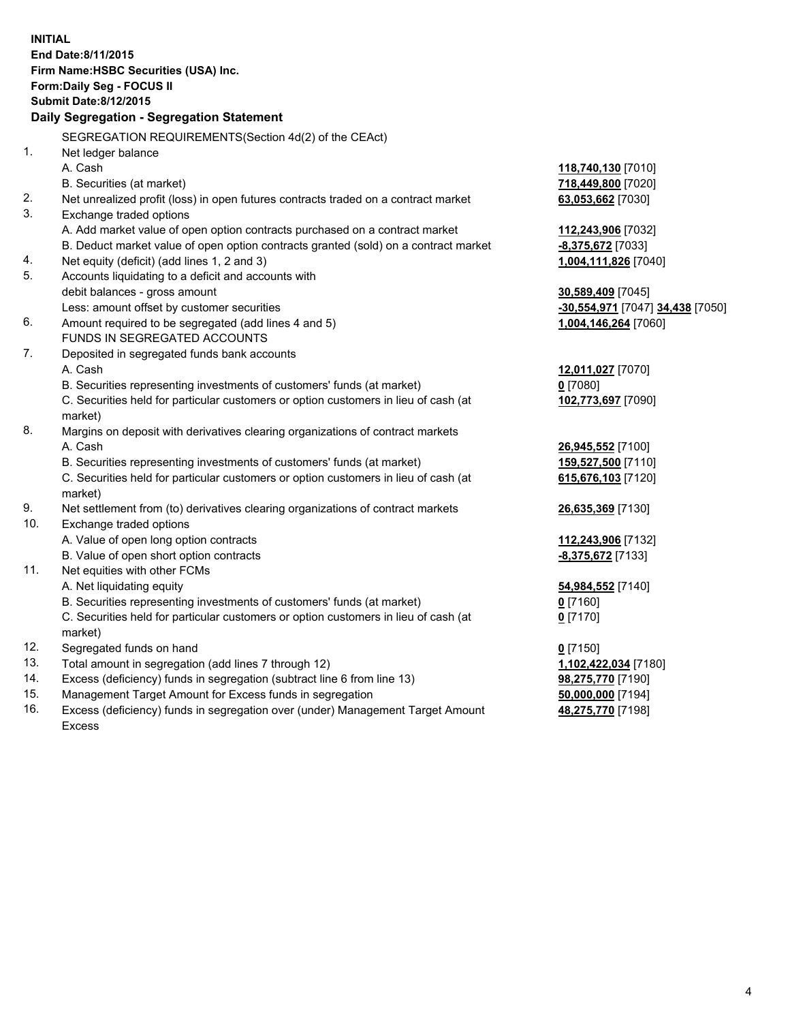| <b>INITIAL</b>                            |                                                                                     |                                  |  |  |
|-------------------------------------------|-------------------------------------------------------------------------------------|----------------------------------|--|--|
| End Date: 8/11/2015                       |                                                                                     |                                  |  |  |
| Firm Name: HSBC Securities (USA) Inc.     |                                                                                     |                                  |  |  |
| Form: Daily Seg - FOCUS II                |                                                                                     |                                  |  |  |
| <b>Submit Date:8/12/2015</b>              |                                                                                     |                                  |  |  |
| Daily Segregation - Segregation Statement |                                                                                     |                                  |  |  |
|                                           | SEGREGATION REQUIREMENTS(Section 4d(2) of the CEAct)                                |                                  |  |  |
| 1.                                        | Net ledger balance                                                                  |                                  |  |  |
|                                           | A. Cash                                                                             | 118,740,130 [7010]               |  |  |
|                                           | B. Securities (at market)                                                           | 718,449,800 [7020]               |  |  |
| 2.                                        | Net unrealized profit (loss) in open futures contracts traded on a contract market  | 63,053,662 [7030]                |  |  |
| 3.                                        | Exchange traded options                                                             |                                  |  |  |
|                                           | A. Add market value of open option contracts purchased on a contract market         | 112,243,906 [7032]               |  |  |
|                                           | B. Deduct market value of open option contracts granted (sold) on a contract market | -8,375,672 [7033]                |  |  |
| 4.                                        | Net equity (deficit) (add lines 1, 2 and 3)                                         | 1,004,111,826 [7040]             |  |  |
| 5.                                        | Accounts liquidating to a deficit and accounts with                                 |                                  |  |  |
|                                           | debit balances - gross amount                                                       | 30,589,409 [7045]                |  |  |
|                                           | Less: amount offset by customer securities                                          | -30,554,971 [7047] 34,438 [7050] |  |  |
| 6.                                        | Amount required to be segregated (add lines 4 and 5)                                | 1,004,146,264 [7060]             |  |  |
|                                           | FUNDS IN SEGREGATED ACCOUNTS                                                        |                                  |  |  |
| 7.                                        | Deposited in segregated funds bank accounts                                         |                                  |  |  |
|                                           | A. Cash                                                                             | 12,011,027 [7070]                |  |  |
|                                           | B. Securities representing investments of customers' funds (at market)              | $0$ [7080]                       |  |  |
|                                           | C. Securities held for particular customers or option customers in lieu of cash (at | 102,773,697 [7090]               |  |  |
|                                           | market)                                                                             |                                  |  |  |
| 8.                                        | Margins on deposit with derivatives clearing organizations of contract markets      |                                  |  |  |
|                                           | A. Cash                                                                             | 26,945,552 [7100]                |  |  |
|                                           | B. Securities representing investments of customers' funds (at market)              | 159,527,500 [7110]               |  |  |
|                                           | C. Securities held for particular customers or option customers in lieu of cash (at | 615,676,103 [7120]               |  |  |
|                                           | market)                                                                             |                                  |  |  |
| 9.                                        | Net settlement from (to) derivatives clearing organizations of contract markets     | 26,635,369 [7130]                |  |  |
| 10.                                       | Exchange traded options                                                             |                                  |  |  |
|                                           | A. Value of open long option contracts                                              | 112,243,906 [7132]               |  |  |
|                                           | B. Value of open short option contracts                                             | -8,375,672 [7133]                |  |  |
| 11.                                       | Net equities with other FCMs<br>A. Net liquidating equity                           |                                  |  |  |
|                                           | B. Securities representing investments of customers' funds (at market)              | 54,984,552 [7140]<br>$0$ [7160]  |  |  |
|                                           | C. Securities held for particular customers or option customers in lieu of cash (at | $0$ [7170]                       |  |  |
|                                           | market)                                                                             |                                  |  |  |
| 12.                                       | Segregated funds on hand                                                            | $0$ [7150]                       |  |  |
| 13.                                       | Total amount in segregation (add lines 7 through 12)                                | 1,102,422,034 [7180]             |  |  |
| 14.                                       | Excess (deficiency) funds in segregation (subtract line 6 from line 13)             | 98,275,770 [7190]                |  |  |
| 15.                                       | Management Target Amount for Excess funds in segregation                            | 50,000,000 [7194]                |  |  |
| 16.                                       | Excess (deficiency) funds in segregation over (under) Management Target Amount      | 48,275,770 [7198]                |  |  |

16. Excess (deficiency) funds in segregation over (under) Management Target Amount Excess